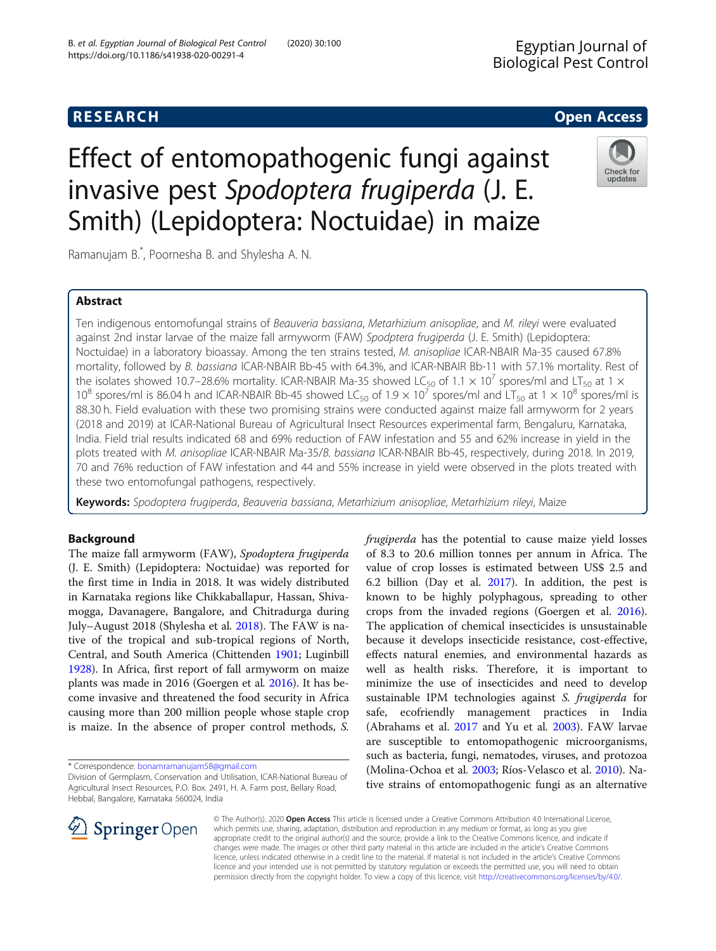# **RESEARCH CHE Open Access**

# Effect of entomopathogenic fungi against invasive pest Spodoptera frugiperda (J. E. Smith) (Lepidoptera: Noctuidae) in maize



Ramanujam B.\* , Poornesha B. and Shylesha A. N.

# Abstract

Ten indigenous entomofungal strains of Beauveria bassiana, Metarhizium anisopliae, and M. rileyi were evaluated against 2nd instar larvae of the maize fall armyworm (FAW) Spodptera frugiperda (J. E. Smith) (Lepidoptera: Noctuidae) in a laboratory bioassay. Among the ten strains tested, M. anisopliae ICAR-NBAIR Ma-35 caused 67.8% mortality, followed by B. bassiana ICAR-NBAIR Bb-45 with 64.3%, and ICAR-NBAIR Bb-11 with 57.1% mortality. Rest of the isolates showed 10.7–28.6% mortality. ICAR-NBAIR Ma-35 showed LC<sub>50</sub> of 1.1  $\times$  10<sup>7</sup> spores/ml and LT<sub>50</sub> at 1  $\times$ 10<sup>8</sup> spores/ml is 86.04 h and ICAR-NBAIR Bb-45 showed LC<sub>50</sub> of 1.9  $\times$  10<sup>7</sup> spores/ml and LT<sub>50</sub> at 1  $\times$  10<sup>8</sup> spores/ml is 88.30 h. Field evaluation with these two promising strains were conducted against maize fall armyworm for 2 years (2018 and 2019) at ICAR-National Bureau of Agricultural Insect Resources experimental farm, Bengaluru, Karnataka, India. Field trial results indicated 68 and 69% reduction of FAW infestation and 55 and 62% increase in yield in the plots treated with M. anisopliae ICAR-NBAIR Ma-35/B. bassiana ICAR-NBAIR Bb-45, respectively, during 2018. In 2019, 70 and 76% reduction of FAW infestation and 44 and 55% increase in yield were observed in the plots treated with these two entomofungal pathogens, respectively.

Keywords: Spodoptera frugiperda, Beauveria bassiana, Metarhizium anisopliae, Metarhizium rileyi, Maize

# Background

The maize fall armyworm (FAW), Spodoptera frugiperda (J. E. Smith) (Lepidoptera: Noctuidae) was reported for the first time in India in 2018. It was widely distributed in Karnataka regions like Chikkaballapur, Hassan, Shivamogga, Davanagere, Bangalore, and Chitradurga during July–August 2018 (Shylesha et al. [2018\)](#page-4-0). The FAW is native of the tropical and sub-tropical regions of North, Central, and South America (Chittenden [1901;](#page-4-0) Luginbill [1928](#page-4-0)). In Africa, first report of fall armyworm on maize plants was made in 2016 (Goergen et al. [2016\)](#page-4-0). It has become invasive and threatened the food security in Africa causing more than 200 million people whose staple crop is maize. In the absence of proper control methods, S.

\* Correspondence: [bonamramanujam58@gmail.com](mailto:bonamramanujam58@gmail.com)

frugiperda has the potential to cause maize yield losses of 8.3 to 20.6 million tonnes per annum in Africa. The value of crop losses is estimated between US\$ 2.5 and 6.2 billion (Day et al. [2017](#page-4-0)). In addition, the pest is known to be highly polyphagous, spreading to other crops from the invaded regions (Goergen et al. [2016](#page-4-0)). The application of chemical insecticides is unsustainable because it develops insecticide resistance, cost-effective, effects natural enemies, and environmental hazards as well as health risks. Therefore, it is important to minimize the use of insecticides and need to develop sustainable IPM technologies against S. frugiperda for safe, ecofriendly management practices in India (Abrahams et al. [2017](#page-4-0) and Yu et al. [2003\)](#page-4-0). FAW larvae are susceptible to entomopathogenic microorganisms, such as bacteria, fungi, nematodes, viruses, and protozoa (Molina-Ochoa et al. [2003](#page-4-0); Ríos-Velasco et al. [2010\)](#page-4-0). Native strains of entomopathogenic fungi as an alternative



© The Author(s). 2020 Open Access This article is licensed under a Creative Commons Attribution 4.0 International License, which permits use, sharing, adaptation, distribution and reproduction in any medium or format, as long as you give appropriate credit to the original author(s) and the source, provide a link to the Creative Commons licence, and indicate if changes were made. The images or other third party material in this article are included in the article's Creative Commons licence, unless indicated otherwise in a credit line to the material. If material is not included in the article's Creative Commons licence and your intended use is not permitted by statutory regulation or exceeds the permitted use, you will need to obtain permission directly from the copyright holder. To view a copy of this licence, visit <http://creativecommons.org/licenses/by/4.0/>.

Division of Germplasm, Conservation and Utilisation, ICAR-National Bureau of Agricultural Insect Resources, P.O. Box. 2491, H. A. Farm post, Bellary Road, Hebbal, Bangalore, Karnataka 560024, India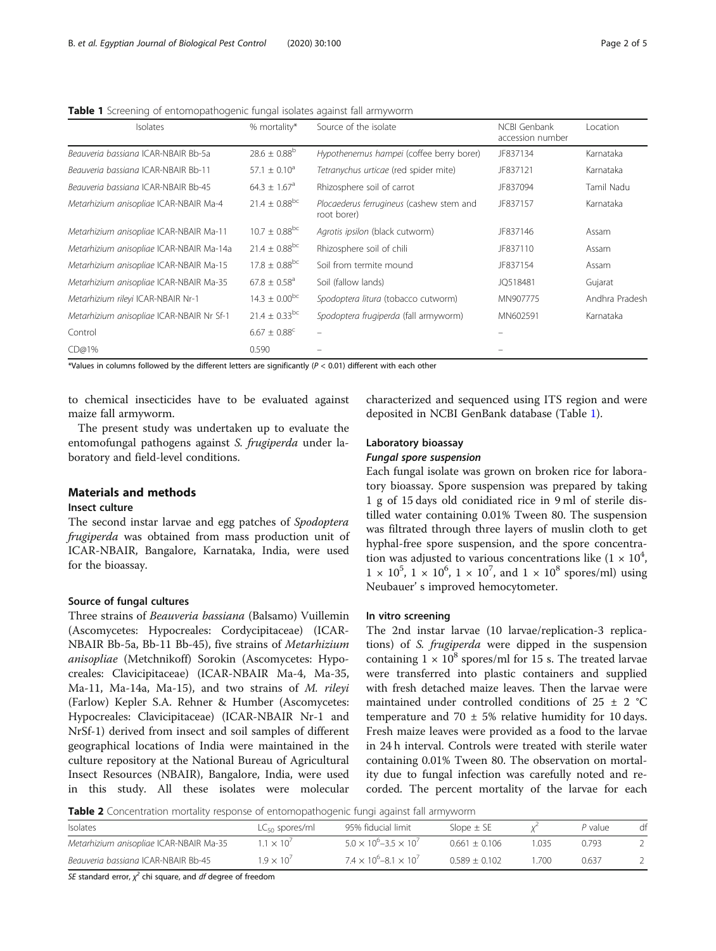<span id="page-1-0"></span>Table 1 Screening of entomopathogenic fungal isolates against fall armyworm

| Isolates                                  | % mortality*                  | Source of the isolate                                   | NCBI Genbank<br>accession number | Location       |
|-------------------------------------------|-------------------------------|---------------------------------------------------------|----------------------------------|----------------|
| Beauveria bassiana ICAR-NBAIR Bb-5a       | $28.6 \pm 0.88^{\circ}$       | Hypothenemus hampei (coffee berry borer)                | JF837134                         | Karnataka      |
| Beauveria bassiana ICAR-NBAIR Bb-11       | $57.1 + 0.10^a$               | Tetranychus urticae (red spider mite)                   | JF837121                         | Karnataka      |
| Beauveria bassiana ICAR-NBAIR Bb-45       | $64.3 \pm 1.67$ <sup>a</sup>  | Rhizosphere soil of carrot                              | JF837094                         | Tamil Nadu     |
| Metarhizium anisopliae ICAR-NBAIR Ma-4    | $21.4 \pm 0.88^{bc}$          | Plocaederus ferrugineus (cashew stem and<br>root borer) | JF837157                         | Karnataka      |
| Metarhizium anisopliae ICAR-NBAIR Ma-11   | $10.7 \pm 0.88$ <sup>bc</sup> | Agrotis ipsilon (black cutworm)                         | JF837146                         | Assam          |
| Metarhizium anisopliae ICAR-NBAIR Ma-14a  | $21.4 \pm 0.88$ <sup>bc</sup> | Rhizosphere soil of chili                               | JF837110                         | Assam          |
| Metarhizium anisopliae ICAR-NBAIR Ma-15   | $17.8 \pm 0.88^{bc}$          | Soil from termite mound                                 | JF837154                         | Assam          |
| Metarhizium anisopliae ICAR-NBAIR Ma-35   | $67.8 \pm 0.58$ <sup>a</sup>  | Soil (fallow lands)                                     | JQ518481                         | Gujarat        |
| Metarhizium rileyi ICAR-NBAIR Nr-1        | $14.3 \pm 0.00^{bc}$          | Spodoptera litura (tobacco cutworm)                     | MN907775                         | Andhra Pradesh |
| Metarhizium anisopliae ICAR-NBAIR Nr Sf-1 | $21.4 \pm 0.33$ <sup>bc</sup> | Spodoptera frugiperda (fall armyworm)                   | MN602591                         | Karnataka      |
| Control                                   | $6.67 \pm 0.88$ <sup>c</sup>  | -                                                       |                                  |                |
| CD@1%                                     | 0.590                         |                                                         |                                  |                |

\*Values in columns followed by the different letters are significantly  $(P < 0.01)$  different with each other

to chemical insecticides have to be evaluated against maize fall armyworm.

The present study was undertaken up to evaluate the entomofungal pathogens against S. frugiperda under laboratory and field-level conditions.

# Materials and methods

## Insect culture

The second instar larvae and egg patches of Spodoptera frugiperda was obtained from mass production unit of ICAR-NBAIR, Bangalore, Karnataka, India, were used for the bioassay.

#### Source of fungal cultures

Three strains of Beauveria bassiana (Balsamo) Vuillemin (Ascomycetes: Hypocreales: Cordycipitaceae) (ICAR-NBAIR Bb-5a, Bb-11 Bb-45), five strains of Metarhizium anisopliae (Metchnikoff) Sorokin (Ascomycetes: Hypocreales: Clavicipitaceae) (ICAR-NBAIR Ma-4, Ma-35, Ma-11, Ma-14a, Ma-15), and two strains of M. rileyi (Farlow) Kepler S.A. Rehner & Humber (Ascomycetes: Hypocreales: Clavicipitaceae) (ICAR-NBAIR Nr-1 and NrSf-1) derived from insect and soil samples of different geographical locations of India were maintained in the culture repository at the National Bureau of Agricultural Insect Resources (NBAIR), Bangalore, India, were used in this study. All these isolates were molecular

characterized and sequenced using ITS region and were deposited in NCBI GenBank database (Table 1).

# Laboratory bioassay

Each fungal isolate was grown on broken rice for laboratory bioassay. Spore suspension was prepared by taking 1 g of 15 days old conidiated rice in 9 ml of sterile distilled water containing 0.01% Tween 80. The suspension was filtrated through three layers of muslin cloth to get hyphal-free spore suspension, and the spore concentration was adjusted to various concentrations like  $(1 \times 10^4)$  $1 \times 10^5$ ,  $1 \times 10^6$ ,  $1 \times 10^7$ , and  $1 \times 10^8$  spores/ml) using Neubauer' s improved hemocytometer.

## In vitro screening

The 2nd instar larvae (10 larvae/replication-3 replications) of S. frugiperda were dipped in the suspension containing  $1 \times 10^8$  spores/ml for 15 s. The treated larvae were transferred into plastic containers and supplied with fresh detached maize leaves. Then the larvae were maintained under controlled conditions of 25  $\pm$  2 °C temperature and 70  $\pm$  5% relative humidity for 10 days. Fresh maize leaves were provided as a food to the larvae in 24 h interval. Controls were treated with sterile water containing 0.01% Tween 80. The observation on mortality due to fungal infection was carefully noted and recorded. The percent mortality of the larvae for each

Table 2 Concentration mortality response of entomopathogenic fungi against fall armyworm

| <b>Isolates</b>                         | $LC_{50}$ spores/ml | 95% fiducial limit                      | Slope $\pm$ SE  |       | P value | df |
|-----------------------------------------|---------------------|-----------------------------------------|-----------------|-------|---------|----|
| Metarhizium anisopliae ICAR-NBAIR Ma-35 | $.1 \times 10^{7}$  | $5.0 \times 10^{6} - 3.5 \times 10^{7}$ | $0.661 + 0.106$ | 1 035 | 0.793   |    |
| Beauveria bassiana ICAR-NBAIR Bb-45     | $1.9 \times 10^{7}$ | $7.4 \times 10^{6} - 8.1 \times 10^{7}$ | $0.589 + 0.102$ | .700  | 0.637   |    |

SE standard error,  $\chi^2$  chi square, and df degree of freedom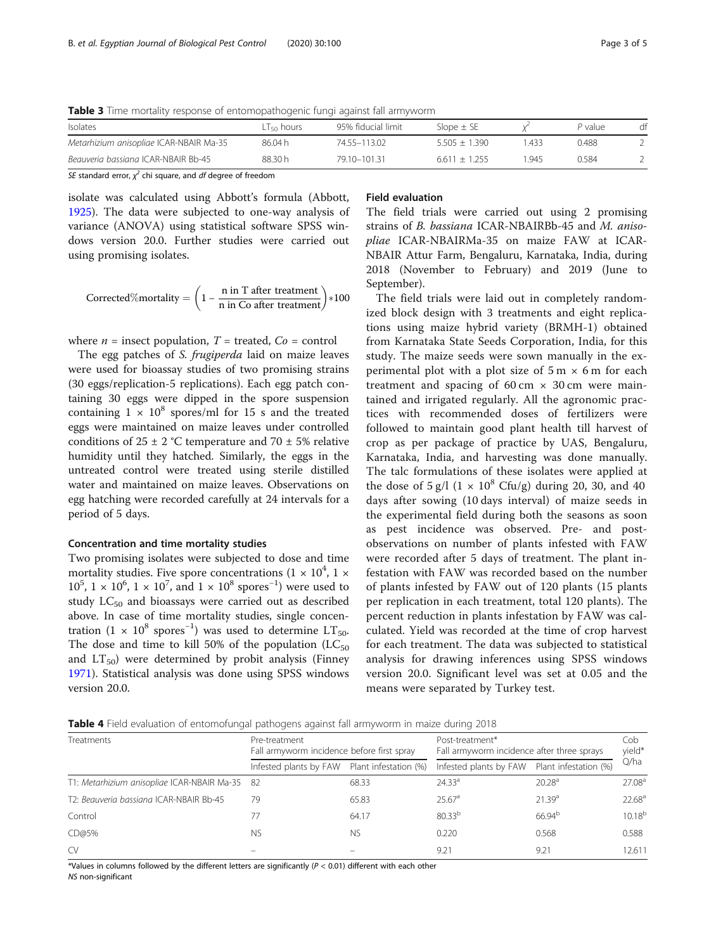<span id="page-2-0"></span>Table 3 Time mortality response of entomopathogenic fungi against fall armyworm

| Isolates                                | LT <sub>so</sub> hours | 95% fiducial limit | Slope $\pm$ SE  |      | P value | df |
|-----------------------------------------|------------------------|--------------------|-----------------|------|---------|----|
| Metarhizium anisopliae ICAR-NBAIR Ma-35 | 86.04 h                | 74.55-113.02       | $5.505 + 1.390$ | .433 | 0.488   |    |
| Beauveria bassiana ICAR-NBAIR Bb-45     | 88.30 h                | 79.10-101.31       | $6.611 + 1.255$ | .945 | 0.584   |    |

SE standard error,  $\chi^2$  chi square, and df degree of freedom

isolate was calculated using Abbott's formula (Abbott, [1925](#page-4-0)). The data were subjected to one-way analysis of variance (ANOVA) using statistical software SPSS windows version 20.0. Further studies were carried out using promising isolates.

Corrected%mortality = 
$$
\left(1 - \frac{n \text{ in } T \text{ after treatment}}{n \text{ in Co after treatment}}\right) * 100
$$

where  $n =$  insect population,  $T =$  treated,  $Co =$  control

The egg patches of S. frugiperda laid on maize leaves were used for bioassay studies of two promising strains (30 eggs/replication-5 replications). Each egg patch containing 30 eggs were dipped in the spore suspension containing  $1 \times 10^8$  spores/ml for 15 s and the treated eggs were maintained on maize leaves under controlled conditions of 25  $\pm$  2 °C temperature and 70  $\pm$  5% relative humidity until they hatched. Similarly, the eggs in the untreated control were treated using sterile distilled water and maintained on maize leaves. Observations on egg hatching were recorded carefully at 24 intervals for a period of 5 days.

#### Concentration and time mortality studies

Two promising isolates were subjected to dose and time mortality studies. Five spore concentrations  $(1 \times 10^4, 1 \times$  $10^5$ ,  $1 \times 10^6$ ,  $1 \times 10^7$ , and  $1 \times 10^8$  spores<sup>-1</sup>) were used to study  $LC_{50}$  and bioassays were carried out as described above. In case of time mortality studies, single concentration (1 ×  $10^8$  spores<sup>-1</sup>) was used to determine LT<sub>50</sub>. The dose and time to kill 50% of the population  $(LC_{50})$ and  $LT_{50}$ ) were determined by probit analysis (Finney [1971](#page-4-0)). Statistical analysis was done using SPSS windows version 20.0.

# Field evaluation

The field trials were carried out using 2 promising strains of B. bassiana ICAR-NBAIRBb-45 and M. anisopliae ICAR-NBAIRMa-35 on maize FAW at ICAR-NBAIR Attur Farm, Bengaluru, Karnataka, India, during 2018 (November to February) and 2019 (June to September).

The field trials were laid out in completely randomized block design with 3 treatments and eight replications using maize hybrid variety (BRMH-1) obtained from Karnataka State Seeds Corporation, India, for this study. The maize seeds were sown manually in the experimental plot with a plot size of  $5 \text{ m} \times 6 \text{ m}$  for each treatment and spacing of  $60 \text{ cm} \times 30 \text{ cm}$  were maintained and irrigated regularly. All the agronomic practices with recommended doses of fertilizers were followed to maintain good plant health till harvest of crop as per package of practice by UAS, Bengaluru, Karnataka, India, and harvesting was done manually. The talc formulations of these isolates were applied at the dose of  $5 \text{ g/l}$  (1 × 10<sup>8</sup> Cfu/g) during 20, 30, and 40 days after sowing (10 days interval) of maize seeds in the experimental field during both the seasons as soon as pest incidence was observed. Pre- and postobservations on number of plants infested with FAW were recorded after 5 days of treatment. The plant infestation with FAW was recorded based on the number of plants infested by FAW out of 120 plants (15 plants per replication in each treatment, total 120 plants). The percent reduction in plants infestation by FAW was calculated. Yield was recorded at the time of crop harvest for each treatment. The data was subjected to statistical analysis for drawing inferences using SPSS windows version 20.0. Significant level was set at 0.05 and the means were separated by Turkey test.

Table 4 Field evaluation of entomofungal pathogens against fall armyworm in maize during 2018

| Treatments                                     | Pre-treatment<br>Fall armyworm incidence before first spray |       | Post-treatment*<br>Fall armyworm incidence after three sprays |                       |                    |
|------------------------------------------------|-------------------------------------------------------------|-------|---------------------------------------------------------------|-----------------------|--------------------|
|                                                | Infested plants by FAW Plant infestation (%)                |       | Infested plants by FAW                                        | Plant infestation (%) | Q/ha               |
| T1: Metarhizium anisopliae ICAR-NBAIR Ma-35 82 |                                                             | 68.33 | 24.33 <sup>a</sup>                                            | 20.28 <sup>a</sup>    | 27.08 <sup>a</sup> |
| T2: Beauveria bassiana ICAR-NBAIR Bb-45        | 79                                                          | 65.83 | 25.67 <sup>a</sup>                                            | 21.39 <sup>a</sup>    | 22.68 <sup>a</sup> |
| Control                                        | 77                                                          | 64.17 | $80.33^{b}$                                                   | 66.94 <sup>b</sup>    | $10.18^{b}$        |
| CD@5%                                          | <b>NS</b>                                                   | NS.   | 0.220                                                         | 0.568                 | 0.588              |
| CV                                             |                                                             |       | 9.21                                                          | 9.21                  | 12.611             |

\*Values in columns followed by the different letters are significantly ( $P < 0.01$ ) different with each other NS non-significant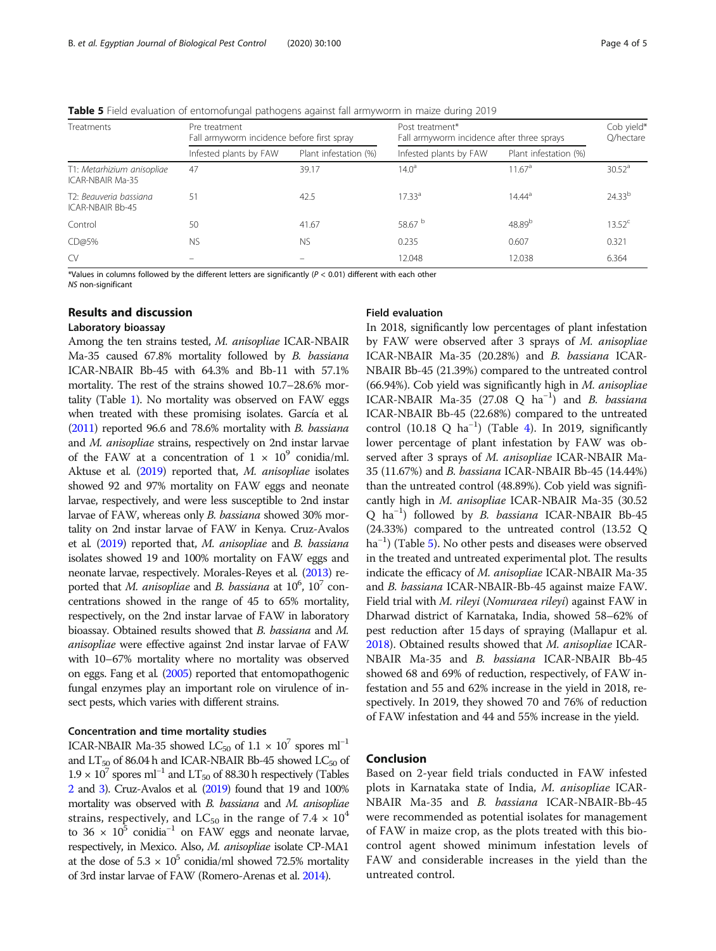**Table 5** Field evaluation of entomofungal pathogens against fall armyworm in maize during 2019

| <b>Treatments</b>                                 | Pre treatment<br>Fall armyworm incidence before first spray |                       | Post treatment*<br>Fall armyworm incidence after three sprays | Cob yield*<br>Q/hectare |             |
|---------------------------------------------------|-------------------------------------------------------------|-----------------------|---------------------------------------------------------------|-------------------------|-------------|
|                                                   | Infested plants by FAW                                      | Plant infestation (%) | Infested plants by FAW                                        | Plant infestation (%)   |             |
| T1: Metarhizium anisopliae<br>ICAR-NBAIR Ma-35    | 47                                                          | 39.17                 | $14.0^{\circ}$                                                | 11.67 <sup>a</sup>      | $30.52^a$   |
| T2: Beauveria bassiana<br><b>ICAR-NBAIR Bb-45</b> | 51                                                          | 42.5                  | $17.33^{a}$                                                   | $14.44^{a}$             | $24.33^{b}$ |
| Control                                           | 50                                                          | 41.67                 | 58.67 <sup>b</sup>                                            | $48.89^{b}$             | $13.52^c$   |
| CD@5%                                             | <b>NS</b>                                                   | <b>NS</b>             | 0.235                                                         | 0.607                   | 0.321       |
| CV                                                |                                                             |                       | 12.048                                                        | 12.038                  | 6.364       |

\*Values in columns followed by the different letters are significantly  $(P < 0.01)$  different with each other

NS non-significant

#### Results and discussion

### Laboratory bioassay

Among the ten strains tested, M. anisopliae ICAR-NBAIR Ma-35 caused 67.8% mortality followed by B. bassiana ICAR-NBAIR Bb-45 with 64.3% and Bb-11 with 57.1% mortality. The rest of the strains showed 10.7–28.6% mortality (Table [1](#page-1-0)). No mortality was observed on FAW eggs when treated with these promising isolates. García et al. ([2011\)](#page-4-0) reported 96.6 and 78.6% mortality with B. bassiana and M. anisopliae strains, respectively on 2nd instar larvae of the FAW at a concentration of  $1 \times 10^9$  conidia/ml. Aktuse et al. ([2019](#page-4-0)) reported that, M. anisopliae isolates showed 92 and 97% mortality on FAW eggs and neonate larvae, respectively, and were less susceptible to 2nd instar larvae of FAW, whereas only B. bassiana showed 30% mortality on 2nd instar larvae of FAW in Kenya. Cruz-Avalos et al. [\(2019](#page-4-0)) reported that, M. anisopliae and B. bassiana isolates showed 19 and 100% mortality on FAW eggs and neonate larvae, respectively. Morales-Reyes et al. [\(2013](#page-4-0)) reported that M. anisopliae and B. bassiana at  $10^6$ ,  $10^7$  concentrations showed in the range of 45 to 65% mortality, respectively, on the 2nd instar larvae of FAW in laboratory bioassay. Obtained results showed that B. bassiana and M. anisopliae were effective against 2nd instar larvae of FAW with 10–67% mortality where no mortality was observed on eggs. Fang et al. [\(2005\)](#page-4-0) reported that entomopathogenic fungal enzymes play an important role on virulence of insect pests, which varies with different strains.

#### Concentration and time mortality studies

ICAR-NBAIR Ma-35 showed LC<sub>50</sub> of  $1.1 \times 10^7$  spores ml<sup>-1</sup> and  $LT_{50}$  of 86.04 h and ICAR-NBAIR Bb-45 showed  $LC_{50}$  of  $1.9 \times 10^7$  spores ml<sup>-1</sup> and LT<sub>50</sub> of 88.30 h respectively (Tables [2](#page-1-0) and [3](#page-2-0)). Cruz-Avalos et al. [\(2019](#page-4-0)) found that 19 and 100% mortality was observed with B. bassiana and M. anisopliae strains, respectively, and LC<sub>50</sub> in the range of 7.4  $\times$  10<sup>4</sup> to 36 ×  $10^5$  conidia<sup>-1</sup> on FAW eggs and neonate larvae, respectively, in Mexico. Also, M. anisopliae isolate CP-MA1 at the dose of  $5.3 \times 10^5$  conidia/ml showed 72.5% mortality of 3rd instar larvae of FAW (Romero-Arenas et al. [2014](#page-4-0)).

#### Field evaluation

In 2018, significantly low percentages of plant infestation by FAW were observed after 3 sprays of M. anisopliae ICAR-NBAIR Ma-35 (20.28%) and B. bassiana ICAR-NBAIR Bb-45 (21.39%) compared to the untreated control (66.94%). Cob yield was significantly high in  $M$ . anisopliae ICAR-NBAIR Ma-35 (27.08 Q ha<sup>-1</sup>) and *B. bassiana* ICAR-NBAIR Bb-45 (22.68%) compared to the untreated control (10.18 Q ha−<sup>1</sup> ) (Table [4](#page-2-0)). In 2019, significantly lower percentage of plant infestation by FAW was observed after 3 sprays of M. anisopliae ICAR-NBAIR Ma-35 (11.67%) and B. bassiana ICAR-NBAIR Bb-45 (14.44%) than the untreated control (48.89%). Cob yield was significantly high in M. anisopliae ICAR-NBAIR Ma-35 (30.52 Q ha<sup>-1</sup>) followed by B. bassiana ICAR-NBAIR Bb-45 (24.33%) compared to the untreated control (13.52 Q ha<sup>-1</sup>) (Table 5). No other pests and diseases were observed in the treated and untreated experimental plot. The results indicate the efficacy of M. anisopliae ICAR-NBAIR Ma-35 and B. bassiana ICAR-NBAIR-Bb-45 against maize FAW. Field trial with M. rileyi (Nomuraea rileyi) against FAW in Dharwad district of Karnataka, India, showed 58–62% of pest reduction after 15 days of spraying (Mallapur et al. [2018](#page-4-0)). Obtained results showed that M. anisopliae ICAR-NBAIR Ma-35 and B. bassiana ICAR-NBAIR Bb-45 showed 68 and 69% of reduction, respectively, of FAW infestation and 55 and 62% increase in the yield in 2018, respectively. In 2019, they showed 70 and 76% of reduction of FAW infestation and 44 and 55% increase in the yield.

#### Conclusion

Based on 2-year field trials conducted in FAW infested plots in Karnataka state of India, M. anisopliae ICAR-NBAIR Ma-35 and B. bassiana ICAR-NBAIR-Bb-45 were recommended as potential isolates for management of FAW in maize crop, as the plots treated with this biocontrol agent showed minimum infestation levels of FAW and considerable increases in the yield than the untreated control.